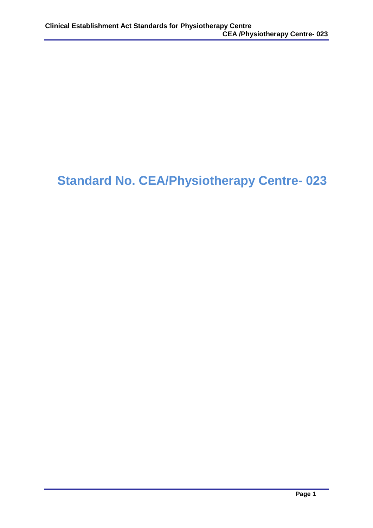# **Standard No. CEA/Physiotherapy Centre- 023**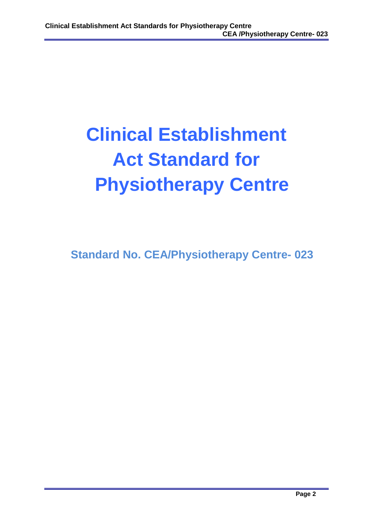# **Clinical Establishment Act Standard for Physiotherapy Centre**

**Standard No. CEA/Physiotherapy Centre- 023**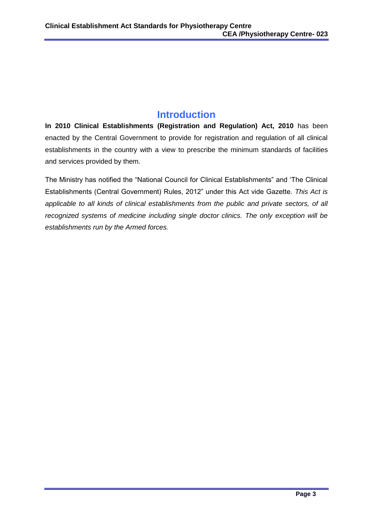# **Introduction**

**In 2010 Clinical Establishments (Registration and Regulation) Act, 2010** has been enacted by the Central Government to provide for registration and regulation of all clinical establishments in the country with a view to prescribe the minimum standards of facilities and services provided by them.

The Ministry has notified the "National Council for Clinical Establishments" and 'The Clinical Establishments (Central Government) Rules, 2012" under this Act vide Gazette. *This Act is applicable to all kinds of clinical establishments from the public and private sectors, of all recognized systems of medicine including single doctor clinics. The only exception will be establishments run by the Armed forces.*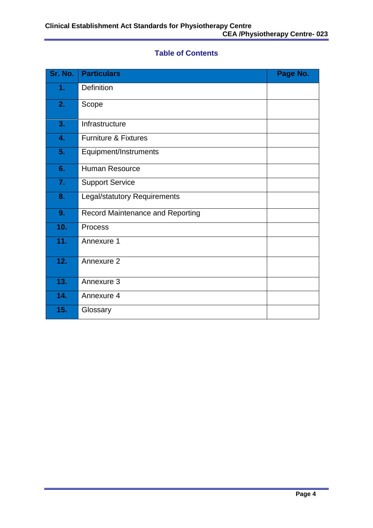# **Table of Contents**

| Sr. No. | <b>Particulars</b>                      | Page No. |
|---------|-----------------------------------------|----------|
| 1.      | Definition                              |          |
| 2.      | Scope                                   |          |
| 3.      | Infrastructure                          |          |
| 4.      | <b>Furniture &amp; Fixtures</b>         |          |
| 5.      | Equipment/Instruments                   |          |
| 6.      | Human Resource                          |          |
| 7.      | <b>Support Service</b>                  |          |
| 8.      | <b>Legal/statutory Requirements</b>     |          |
| 9.      | <b>Record Maintenance and Reporting</b> |          |
| 10.     | Process                                 |          |
| 11.     | Annexure 1                              |          |
| 12.     | Annexure 2                              |          |
| 13.     | Annexure 3                              |          |
| 14.     | Annexure 4                              |          |
| 15.     | Glossary                                |          |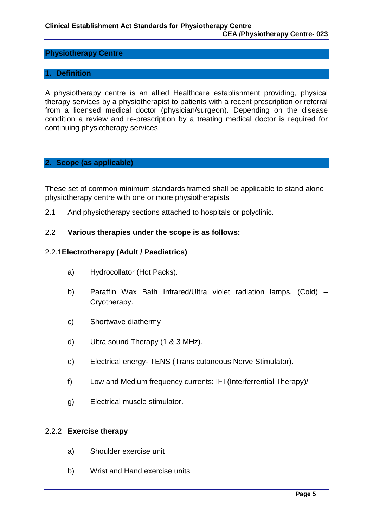#### **Physiotherapy Centre**

#### **1. Definition**

A physiotherapy centre is an allied Healthcare establishment providing, physical therapy services by a physiotherapist to patients with a recent prescription or referral from a licensed medical doctor (physician/surgeon). Depending on the disease condition a review and re-prescription by a treating medical doctor is required for continuing physiotherapy services.

#### **2. Scope (as applicable)**

These set of common minimum standards framed shall be applicable to stand alone physiotherapy centre with one or more physiotherapists

2.1 And physiotherapy sections attached to hospitals or polyclinic.

#### 2.2 **Various therapies under the scope is as follows:**

#### 2.2.1**Electrotherapy (Adult / Paediatrics)**

- a) Hydrocollator (Hot Packs).
- b) Paraffin Wax Bath Infrared/Ultra violet radiation lamps. (Cold) Cryotherapy.
- c) Shortwave diathermy
- d) Ultra sound Therapy (1 & 3 MHz).
- e) Electrical energy- TENS (Trans cutaneous Nerve Stimulator).
- f) Low and Medium frequency currents: IFT(Interferrential Therapy)/
- g) Electrical muscle stimulator.

#### 2.2.2 **Exercise therapy**

- a) Shoulder exercise unit
- b) Wrist and Hand exercise units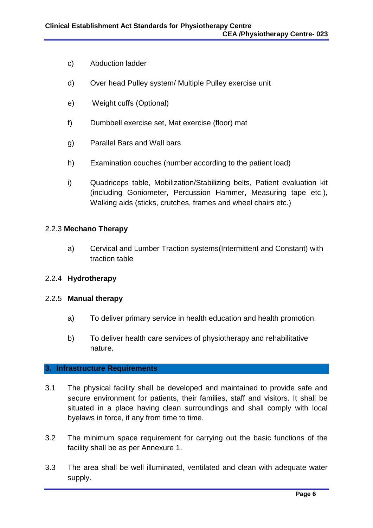- c) Abduction ladder
- d) Over head Pulley system/ Multiple Pulley exercise unit
- e) Weight cuffs (Optional)
- f) Dumbbell exercise set, Mat exercise (floor) mat
- g) Parallel Bars and Wall bars
- h) Examination couches (number according to the patient load)
- i) Quadriceps table, Mobilization/Stabilizing belts, Patient evaluation kit (including Goniometer, Percussion Hammer, Measuring tape etc.), Walking aids (sticks, crutches, frames and wheel chairs etc.)

#### 2.2.3 **Mechano Therapy**

a) Cervical and Lumber Traction systems(Intermittent and Constant) with traction table

#### 2.2.4 **Hydrotherapy**

#### 2.2.5 **Manual therapy**

- a) To deliver primary service in health education and health promotion.
- b) To deliver health care services of physiotherapy and rehabilitative nature.

#### **3. Infrastructure Requirements**

- 3.1 The physical facility shall be developed and maintained to provide safe and secure environment for patients, their families, staff and visitors. It shall be situated in a place having clean surroundings and shall comply with local byelaws in force, if any from time to time.
- 3.2 The minimum space requirement for carrying out the basic functions of the facility shall be as per Annexure 1.
- 3.3 The area shall be well illuminated, ventilated and clean with adequate water supply.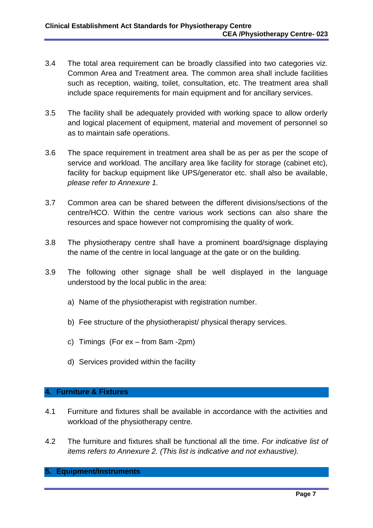- 3.4 The total area requirement can be broadly classified into two categories viz. Common Area and Treatment area. The common area shall include facilities such as reception, waiting, toilet, consultation, etc. The treatment area shall include space requirements for main equipment and for ancillary services.
- 3.5 The facility shall be adequately provided with working space to allow orderly and logical placement of equipment, material and movement of personnel so as to maintain safe operations.
- 3.6 The space requirement in treatment area shall be as per as per the scope of service and workload. The ancillary area like facility for storage (cabinet etc), facility for backup equipment like UPS/generator etc. shall also be available, *please refer to Annexure 1.*
- 3.7 Common area can be shared between the different divisions/sections of the centre/HCO. Within the centre various work sections can also share the resources and space however not compromising the quality of work.
- 3.8 The physiotherapy centre shall have a prominent board/signage displaying the name of the centre in local language at the gate or on the building.
- 3.9 The following other signage shall be well displayed in the language understood by the local public in the area:
	- a) Name of the physiotherapist with registration number.
	- b) Fee structure of the physiotherapist/ physical therapy services.
	- c) Timings (For ex from 8am -2pm)
	- d) Services provided within the facility

#### **4. Furniture & Fixtures**

- 4.1 Furniture and fixtures shall be available in accordance with the activities and workload of the physiotherapy centre.
- 4.2 The furniture and fixtures shall be functional all the time. *For indicative list of items refers to Annexure 2. (This list is indicative and not exhaustive).*

#### **5. Equipment/Instruments**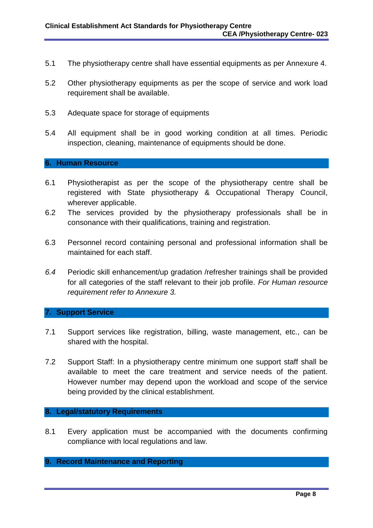- 5.1 The physiotherapy centre shall have essential equipments as per Annexure 4.
- 5.2 Other physiotherapy equipments as per the scope of service and work load requirement shall be available.
- 5.3 Adequate space for storage of equipments
- 5.4 All equipment shall be in good working condition at all times. Periodic inspection, cleaning, maintenance of equipments should be done.

#### **6. Human Resource**

- 6.1 Physiotherapist as per the scope of the physiotherapy centre shall be registered with State physiotherapy & Occupational Therapy Council, wherever applicable.
- 6.2 The services provided by the physiotherapy professionals shall be in consonance with their qualifications, training and registration.
- 6.3 Personnel record containing personal and professional information shall be maintained for each staff.
- *6.4* Periodic skill enhancement/up gradation /refresher trainings shall be provided for all categories of the staff relevant to their job profile. *For Human resource requirement refer to Annexure 3.*

#### **7. Support Service**

- 7.1 Support services like registration, billing, waste management, etc., can be shared with the hospital.
- 7.2 Support Staff: In a physiotherapy centre minimum one support staff shall be available to meet the care treatment and service needs of the patient. However number may depend upon the workload and scope of the service being provided by the clinical establishment.

#### **8. Legal/statutory Requirements**

8.1 Every application must be accompanied with the documents confirming compliance with local regulations and law.

#### **9. Record Maintenance and Reporting**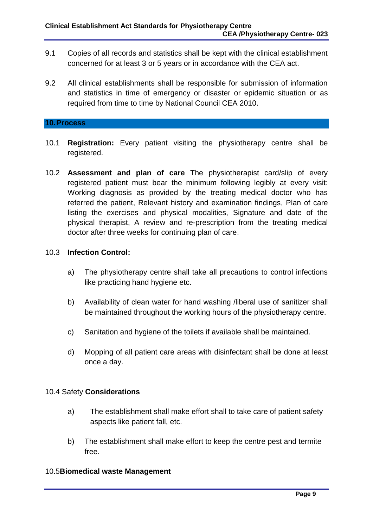- 9.1 Copies of all records and statistics shall be kept with the clinical establishment concerned for at least 3 or 5 years or in accordance with the CEA act.
- 9.2 All clinical establishments shall be responsible for submission of information and statistics in time of emergency or disaster or epidemic situation or as required from time to time by National Council CEA 2010.

#### **10.Process**

- 10.1 **Registration:** Every patient visiting the physiotherapy centre shall be registered.
- 10.2 **Assessment and plan of care** The physiotherapist card/slip of every registered patient must bear the minimum following legibly at every visit: Working diagnosis as provided by the treating medical doctor who has referred the patient, Relevant history and examination findings, Plan of care listing the exercises and physical modalities, Signature and date of the physical therapist, A review and re-prescription from the treating medical doctor after three weeks for continuing plan of care.

#### 10.3 **Infection Control:**

- a) The physiotherapy centre shall take all precautions to control infections like practicing hand hygiene etc.
- b) Availability of clean water for hand washing /liberal use of sanitizer shall be maintained throughout the working hours of the physiotherapy centre.
- c) Sanitation and hygiene of the toilets if available shall be maintained.
- d) Mopping of all patient care areas with disinfectant shall be done at least once a day.

#### 10.4 Safety **Considerations**

- a) The establishment shall make effort shall to take care of patient safety aspects like patient fall, etc.
- b) The establishment shall make effort to keep the centre pest and termite free.

#### 10.5**Biomedical waste Management**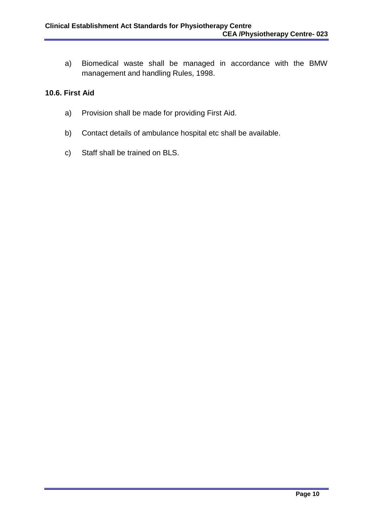a) Biomedical waste shall be managed in accordance with the BMW management and handling Rules, 1998.

#### **10.6. First Aid**

- a) Provision shall be made for providing First Aid.
- b) Contact details of ambulance hospital etc shall be available.
- c) Staff shall be trained on BLS.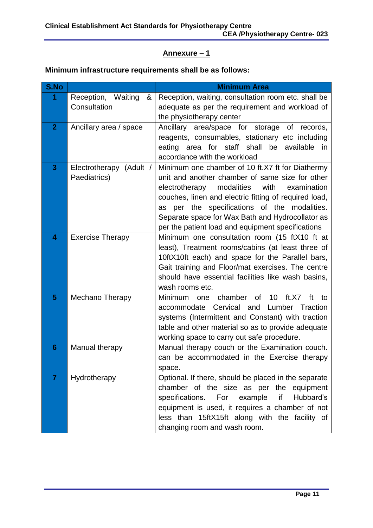# **Annexure – 1**

# **Minimum infrastructure requirements shall be as follows:**

| S.No            |                                         | <b>Minimum Area</b>                                                                                                                                                                                                                                                                                                                                                          |  |  |
|-----------------|-----------------------------------------|------------------------------------------------------------------------------------------------------------------------------------------------------------------------------------------------------------------------------------------------------------------------------------------------------------------------------------------------------------------------------|--|--|
| 1               | Reception, Waiting<br>&<br>Consultation | Reception, waiting, consultation room etc. shall be<br>adequate as per the requirement and workload of<br>the physiotherapy center                                                                                                                                                                                                                                           |  |  |
| $\overline{2}$  | Ancillary area / space                  | Ancillary area/space for storage<br>of records,<br>reagents, consumables, stationary etc including<br>area for staff shall<br>be<br>available<br>eating<br>in.<br>accordance with the workload                                                                                                                                                                               |  |  |
| 3               | Electrotherapy (Adult /<br>Paediatrics) | Minimum one chamber of 10 ft.X7 ft for Diathermy<br>unit and another chamber of same size for other<br>modalities<br>with<br>electrotherapy<br>examination<br>couches, linen and electric fitting of required load,<br>as per the specifications of the modalities.<br>Separate space for Wax Bath and Hydrocollator as<br>per the patient load and equipment specifications |  |  |
| 4               | <b>Exercise Therapy</b>                 | Minimum one consultation room (15 ftX10 ft at<br>least), Treatment rooms/cabins (at least three of<br>10ftX10ft each) and space for the Parallel bars,<br>Gait training and Floor/mat exercises. The centre<br>should have essential facilities like wash basins,<br>wash rooms etc.                                                                                         |  |  |
| 5               | Mechano Therapy                         | chamber<br>of<br>10<br>ft.X7<br><b>Minimum</b><br>ft<br>one<br>to<br>Cervical and<br>Lumber Traction<br>accommodate<br>systems (Intermittent and Constant) with traction<br>table and other material so as to provide adequate<br>working space to carry out safe procedure.                                                                                                 |  |  |
| $6\phantom{1}6$ | Manual therapy                          | Manual therapy couch or the Examination couch.<br>can be accommodated in the Exercise therapy<br>space.                                                                                                                                                                                                                                                                      |  |  |
| $\overline{7}$  | Hydrotherapy                            | Optional. If there, should be placed in the separate<br>chamber of the size as per the equipment<br>specifications. For example<br>if<br>Hubbard's<br>equipment is used, it requires a chamber of not<br>less than 15ftX15ft along with the facility of<br>changing room and wash room.                                                                                      |  |  |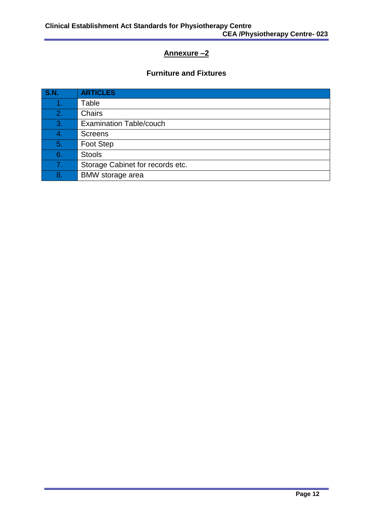# **Annexure –2**

## **Furniture and Fixtures**

| <b>S.N.</b> | <b>ARTICLES</b>                  |
|-------------|----------------------------------|
|             | Table                            |
| 2.          | <b>Chairs</b>                    |
| 3.          | <b>Examination Table/couch</b>   |
| 4.          | <b>Screens</b>                   |
| 5.          | Foot Step                        |
| 6.          | <b>Stools</b>                    |
| 7.          | Storage Cabinet for records etc. |
| 8.          | <b>BMW</b> storage area          |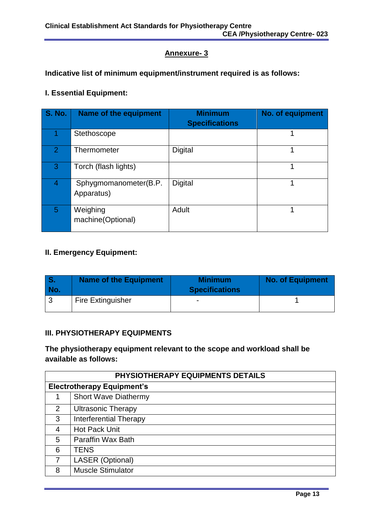#### **Annexure- 3**

## **Indicative list of minimum equipment/instrument required is as follows:**

#### **I. Essential Equipment:**

| <b>S. No.</b>  | <b>Name of the equipment</b>        | <b>Minimum</b><br><b>Specifications</b> | No. of equipment |
|----------------|-------------------------------------|-----------------------------------------|------------------|
|                | Stethoscope                         |                                         |                  |
| $\overline{2}$ | Thermometer                         | Digital                                 |                  |
| 3              | Torch (flash lights)                |                                         |                  |
| 4              | Sphygmomanometer(B.P.<br>Apparatus) | Digital                                 |                  |
| 5              | Weighing<br>machine(Optional)       | Adult                                   |                  |

# **II. Emergency Equipment:**

| l S.<br><b>No.</b> | <b>Name of the Equipment</b> | <b>Minimum</b><br><b>Specifications</b> | <b>No. of Equipment</b> |
|--------------------|------------------------------|-----------------------------------------|-------------------------|
|                    | <b>Fire Extinguisher</b>     | $\overline{\phantom{0}}$                |                         |

#### **III. PHYSIOTHERAPY EQUIPMENTS**

#### **The physiotherapy equipment relevant to the scope and workload shall be available as follows:**

| PHYSIOTHERAPY EQUIPMENTS DETAILS  |                               |  |
|-----------------------------------|-------------------------------|--|
| <b>Electrotherapy Equipment's</b> |                               |  |
|                                   | <b>Short Wave Diathermy</b>   |  |
| 2                                 | <b>Ultrasonic Therapy</b>     |  |
| 3                                 | <b>Interferential Therapy</b> |  |
| 4                                 | <b>Hot Pack Unit</b>          |  |
| 5                                 | Paraffin Wax Bath             |  |
| 6                                 | <b>TENS</b>                   |  |
| 7                                 | LASER (Optional)              |  |
| 8                                 | <b>Muscle Stimulator</b>      |  |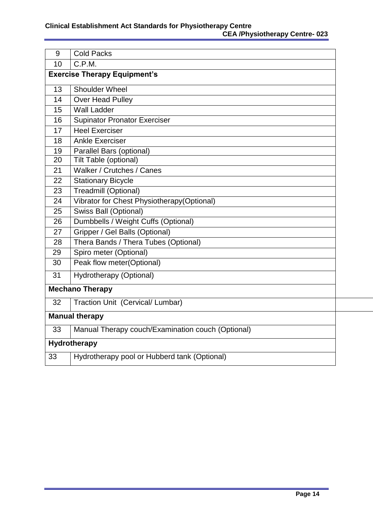| 9                                   | <b>Cold Packs</b>                                 |  |
|-------------------------------------|---------------------------------------------------|--|
| 10                                  | C.P.M.                                            |  |
| <b>Exercise Therapy Equipment's</b> |                                                   |  |
| 13                                  | <b>Shoulder Wheel</b>                             |  |
| 14                                  | Over Head Pulley                                  |  |
| 15                                  | <b>Wall Ladder</b>                                |  |
| 16                                  | <b>Supinator Pronator Exerciser</b>               |  |
| 17                                  | <b>Heel Exerciser</b>                             |  |
| 18                                  | <b>Ankle Exerciser</b>                            |  |
| 19                                  | Parallel Bars (optional)                          |  |
| 20                                  | Tilt Table (optional)                             |  |
| 21                                  | Walker / Crutches / Canes                         |  |
| 22                                  | <b>Stationary Bicycle</b>                         |  |
| 23                                  | Treadmill (Optional)                              |  |
| 24                                  | Vibrator for Chest Physiotherapy(Optional)        |  |
| 25                                  | Swiss Ball (Optional)                             |  |
| 26                                  | Dumbbells / Weight Cuffs (Optional)               |  |
| 27                                  | Gripper / Gel Balls (Optional)                    |  |
| 28                                  | Thera Bands / Thera Tubes (Optional)              |  |
| 29                                  | Spiro meter (Optional)                            |  |
| 30                                  | Peak flow meter(Optional)                         |  |
| 31                                  | Hydrotherapy (Optional)                           |  |
|                                     | <b>Mechano Therapy</b>                            |  |
| 32                                  | Traction Unit (Cervical/ Lumbar)                  |  |
| <b>Manual therapy</b>               |                                                   |  |
| 33                                  | Manual Therapy couch/Examination couch (Optional) |  |
| <b>Hydrotherapy</b>                 |                                                   |  |
| 33                                  | Hydrotherapy pool or Hubberd tank (Optional)      |  |